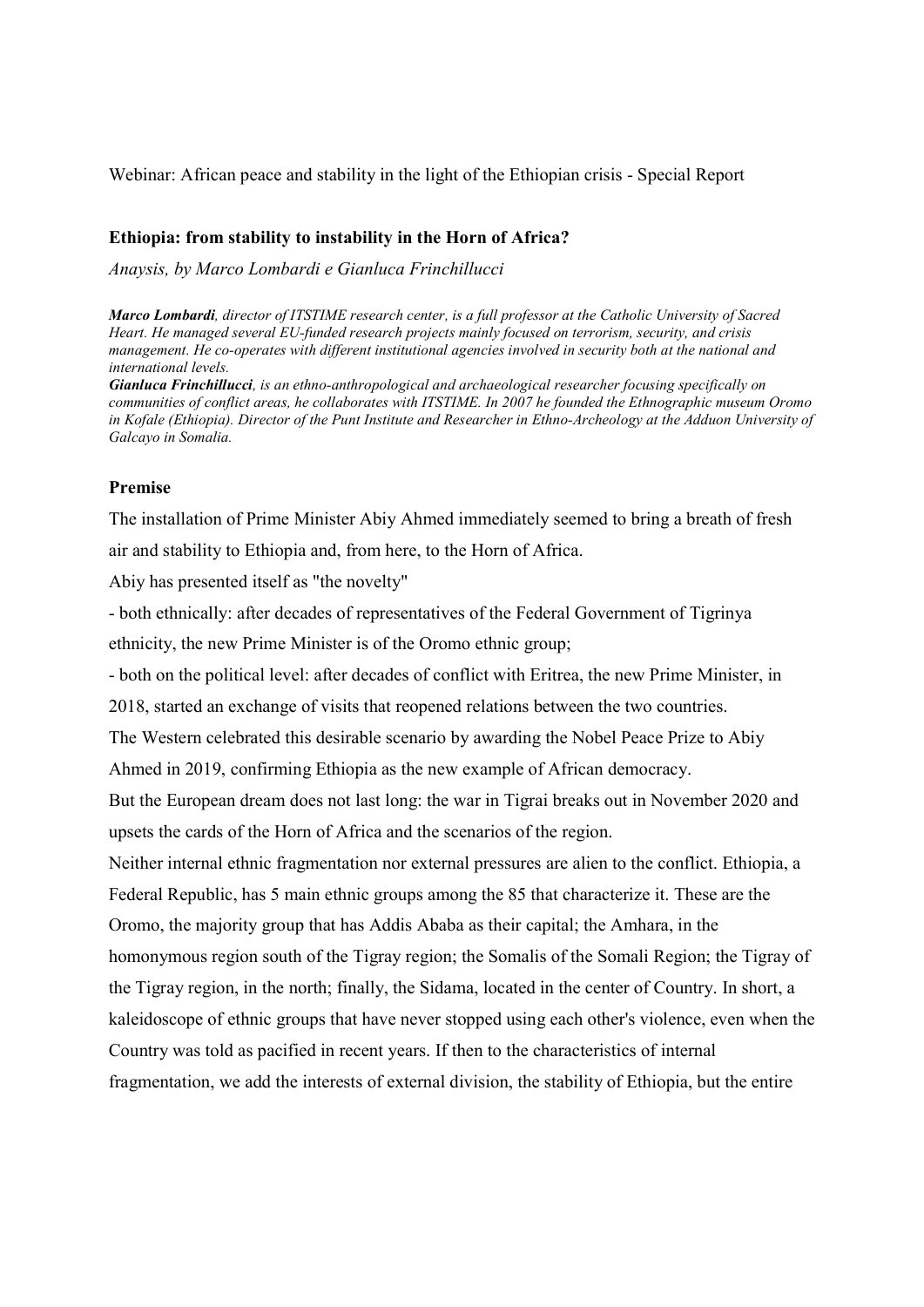Webinar: African peace and stability in the light of the Ethiopian crisis - Special Report

# Ethiopia: from stability to instability in the Horn of Africa?

Anaysis, by Marco Lombardi e Gianluca Frinchillucci

Marco Lombardi, director of ITSTIME research center, is a full professor at the Catholic University of Sacred Heart. He managed several EU-funded research projects mainly focused on terrorism, security, and crisis management. He co-operates with different institutional agencies involved in security both at the national and international levels.

Gianluca Frinchillucci, is an ethno-anthropological and archaeological researcher focusing specifically on communities of conflict areas, he collaborates with ITSTIME. In 2007 he founded the Ethnographic museum Oromo in Kofale (Ethiopia). Director of the Punt Institute and Researcher in Ethno-Archeology at the Adduon University of Galcayo in Somalia.

# Premise

The installation of Prime Minister Abiy Ahmed immediately seemed to bring a breath of fresh air and stability to Ethiopia and, from here, to the Horn of Africa.

Abiy has presented itself as "the novelty"

- both ethnically: after decades of representatives of the Federal Government of Tigrinya ethnicity, the new Prime Minister is of the Oromo ethnic group;

- both on the political level: after decades of conflict with Eritrea, the new Prime Minister, in

2018, started an exchange of visits that reopened relations between the two countries.

The Western celebrated this desirable scenario by awarding the Nobel Peace Prize to Abiy

Ahmed in 2019, confirming Ethiopia as the new example of African democracy.

But the European dream does not last long: the war in Tigrai breaks out in November 2020 and upsets the cards of the Horn of Africa and the scenarios of the region.

Neither internal ethnic fragmentation nor external pressures are alien to the conflict. Ethiopia, a Federal Republic, has 5 main ethnic groups among the 85 that characterize it. These are the Oromo, the majority group that has Addis Ababa as their capital; the Amhara, in the homonymous region south of the Tigray region; the Somalis of the Somali Region; the Tigray of the Tigray region, in the north; finally, the Sidama, located in the center of Country. In short, a kaleidoscope of ethnic groups that have never stopped using each other's violence, even when the Country was told as pacified in recent years. If then to the characteristics of internal fragmentation, we add the interests of external division, the stability of Ethiopia, but the entire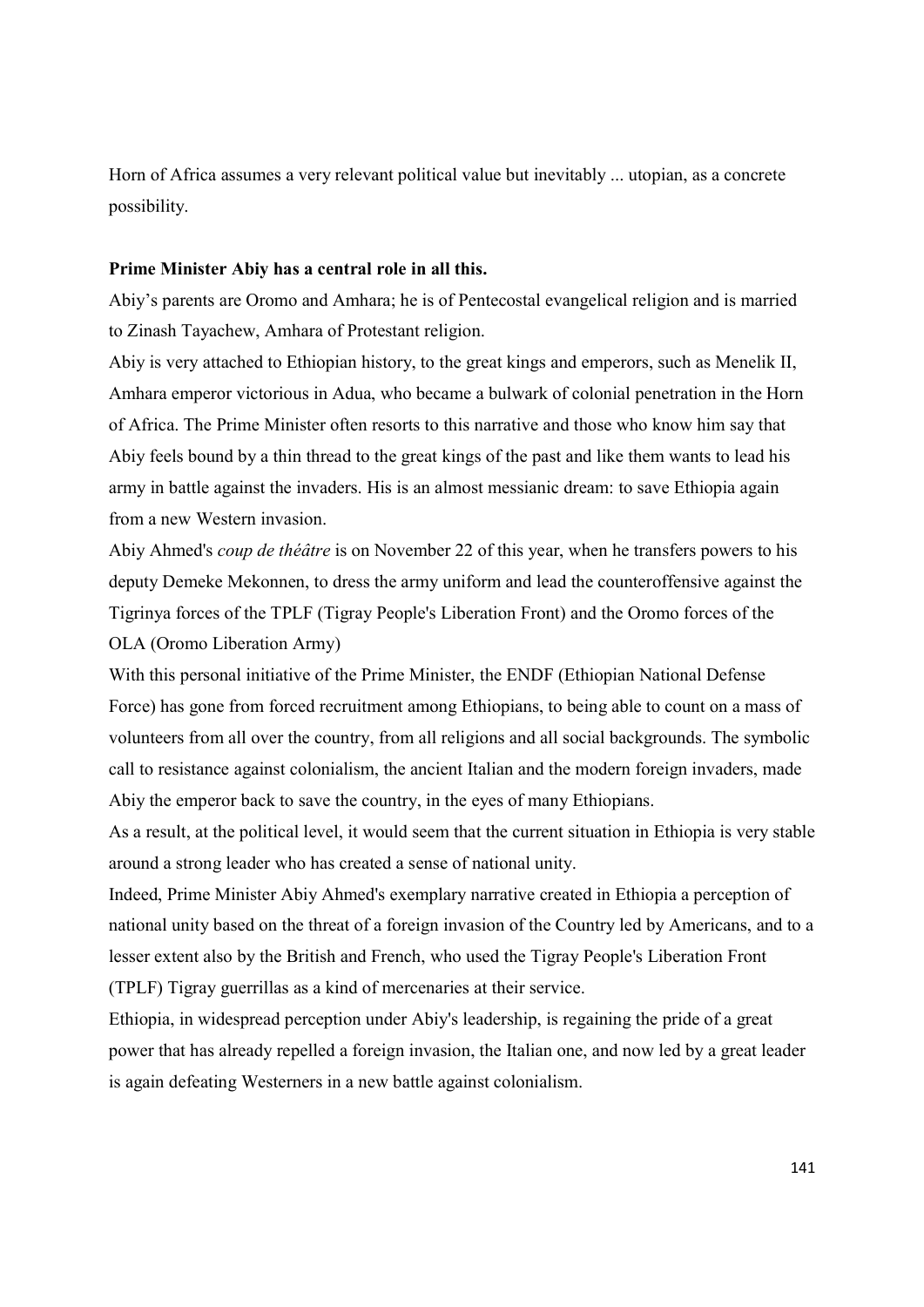Horn of Africa assumes a very relevant political value but inevitably ... utopian, as a concrete possibility.

## Prime Minister Abiy has a central role in all this.

Abiy's parents are Oromo and Amhara; he is of Pentecostal evangelical religion and is married to Zinash Tayachew, Amhara of Protestant religion.

Abiy is very attached to Ethiopian history, to the great kings and emperors, such as Menelik II, Amhara emperor victorious in Adua, who became a bulwark of colonial penetration in the Horn of Africa. The Prime Minister often resorts to this narrative and those who know him say that Abiy feels bound by a thin thread to the great kings of the past and like them wants to lead his army in battle against the invaders. His is an almost messianic dream: to save Ethiopia again from a new Western invasion.

Abiy Ahmed's coup de théâtre is on November 22 of this year, when he transfers powers to his deputy Demeke Mekonnen, to dress the army uniform and lead the counteroffensive against the Tigrinya forces of the TPLF (Tigray People's Liberation Front) and the Oromo forces of the OLA (Oromo Liberation Army)

With this personal initiative of the Prime Minister, the ENDF (Ethiopian National Defense Force) has gone from forced recruitment among Ethiopians, to being able to count on a mass of volunteers from all over the country, from all religions and all social backgrounds. The symbolic call to resistance against colonialism, the ancient Italian and the modern foreign invaders, made Abiy the emperor back to save the country, in the eyes of many Ethiopians.

As a result, at the political level, it would seem that the current situation in Ethiopia is very stable around a strong leader who has created a sense of national unity.

Indeed, Prime Minister Abiy Ahmed's exemplary narrative created in Ethiopia a perception of national unity based on the threat of a foreign invasion of the Country led by Americans, and to a lesser extent also by the British and French, who used the Tigray People's Liberation Front (TPLF) Tigray guerrillas as a kind of mercenaries at their service.

Ethiopia, in widespread perception under Abiy's leadership, is regaining the pride of a great power that has already repelled a foreign invasion, the Italian one, and now led by a great leader is again defeating Westerners in a new battle against colonialism.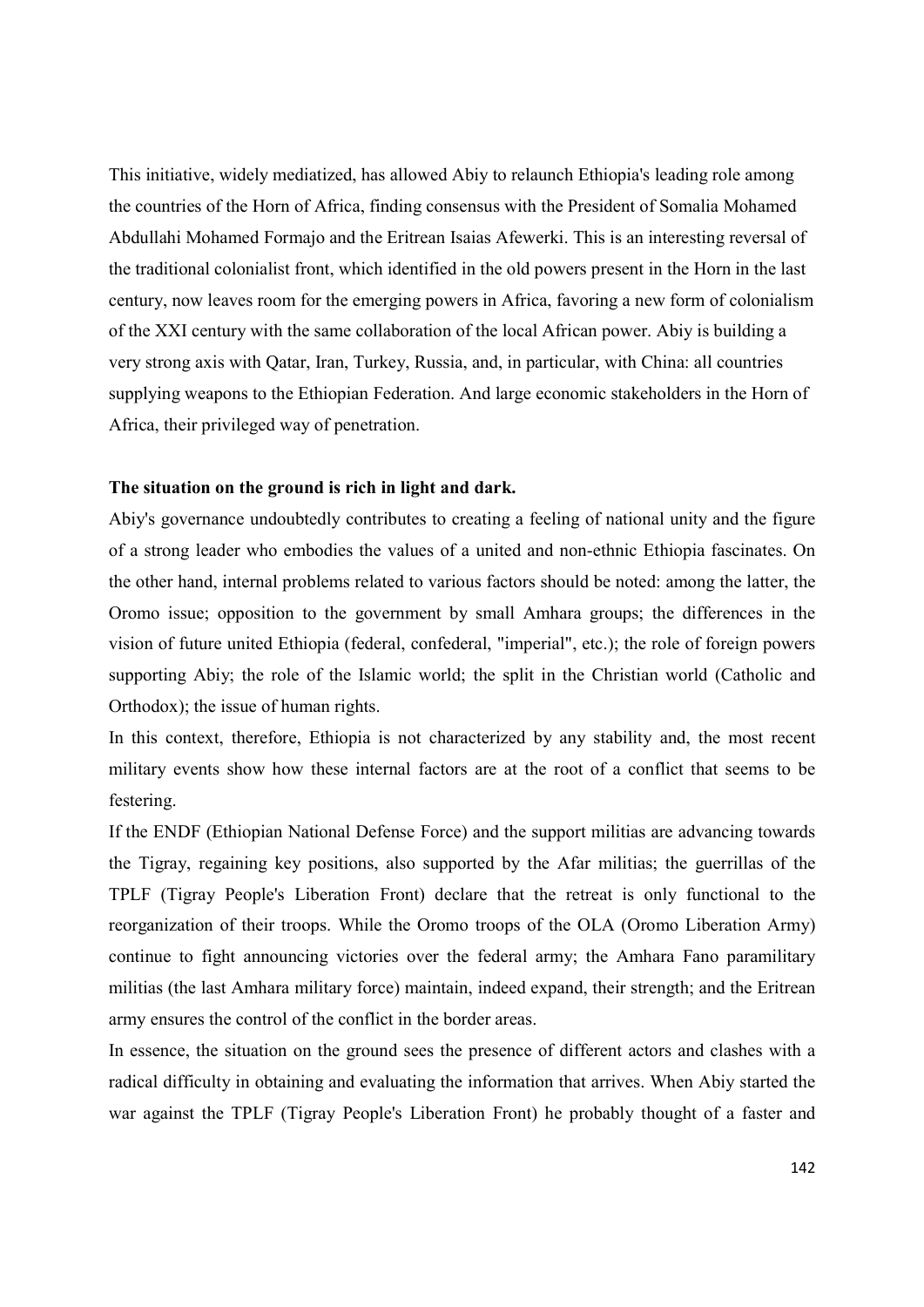This initiative, widely mediatized, has allowed Abiy to relaunch Ethiopia's leading role among the countries of the Horn of Africa, finding consensus with the President of Somalia Mohamed Abdullahi Mohamed Formajo and the Eritrean Isaias Afewerki. This is an interesting reversal of the traditional colonialist front, which identified in the old powers present in the Horn in the last century, now leaves room for the emerging powers in Africa, favoring a new form of colonialism of the XXI century with the same collaboration of the local African power. Abiy is building a very strong axis with Qatar, Iran, Turkey, Russia, and, in particular, with China: all countries supplying weapons to the Ethiopian Federation. And large economic stakeholders in the Horn of Africa, their privileged way of penetration.

## The situation on the ground is rich in light and dark.

Abiy's governance undoubtedly contributes to creating a feeling of national unity and the figure of a strong leader who embodies the values of a united and non-ethnic Ethiopia fascinates. On the other hand, internal problems related to various factors should be noted: among the latter, the Oromo issue; opposition to the government by small Amhara groups; the differences in the vision of future united Ethiopia (federal, confederal, "imperial", etc.); the role of foreign powers supporting Abiy; the role of the Islamic world; the split in the Christian world (Catholic and Orthodox); the issue of human rights.

In this context, therefore, Ethiopia is not characterized by any stability and, the most recent military events show how these internal factors are at the root of a conflict that seems to be festering.

If the ENDF (Ethiopian National Defense Force) and the support militias are advancing towards the Tigray, regaining key positions, also supported by the Afar militias; the guerrillas of the TPLF (Tigray People's Liberation Front) declare that the retreat is only functional to the reorganization of their troops. While the Oromo troops of the OLA (Oromo Liberation Army) continue to fight announcing victories over the federal army; the Amhara Fano paramilitary militias (the last Amhara military force) maintain, indeed expand, their strength; and the Eritrean army ensures the control of the conflict in the border areas.

In essence, the situation on the ground sees the presence of different actors and clashes with a radical difficulty in obtaining and evaluating the information that arrives. When Abiy started the war against the TPLF (Tigray People's Liberation Front) he probably thought of a faster and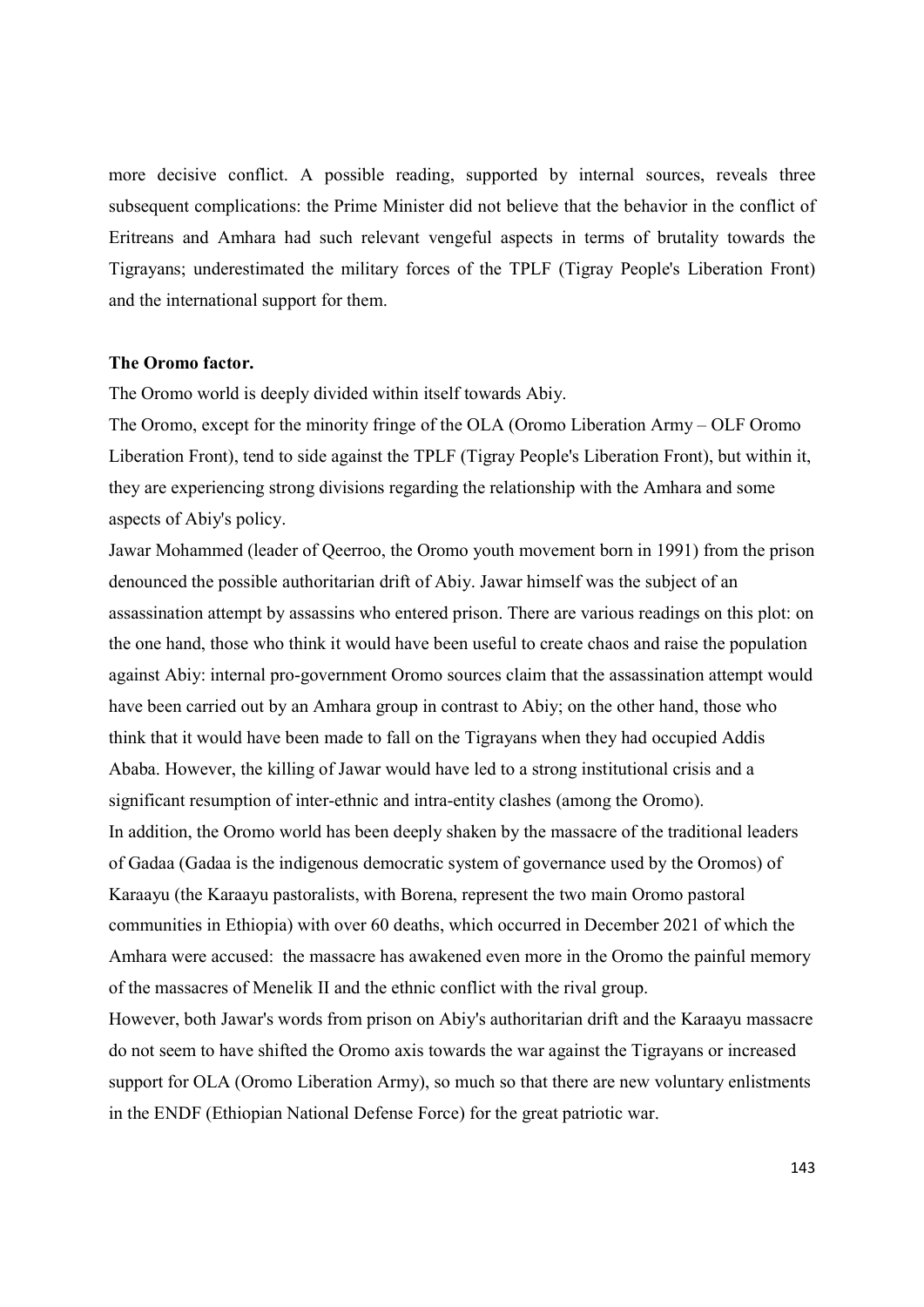more decisive conflict. A possible reading, supported by internal sources, reveals three subsequent complications: the Prime Minister did not believe that the behavior in the conflict of Eritreans and Amhara had such relevant vengeful aspects in terms of brutality towards the Tigrayans; underestimated the military forces of the TPLF (Tigray People's Liberation Front) and the international support for them.

## The Oromo factor.

The Oromo world is deeply divided within itself towards Abiy.

The Oromo, except for the minority fringe of the OLA (Oromo Liberation Army – OLF Oromo Liberation Front), tend to side against the TPLF (Tigray People's Liberation Front), but within it, they are experiencing strong divisions regarding the relationship with the Amhara and some aspects of Abiy's policy.

Jawar Mohammed (leader of Qeerroo, the Oromo youth movement born in 1991) from the prison denounced the possible authoritarian drift of Abiy. Jawar himself was the subject of an assassination attempt by assassins who entered prison. There are various readings on this plot: on the one hand, those who think it would have been useful to create chaos and raise the population against Abiy: internal pro-government Oromo sources claim that the assassination attempt would have been carried out by an Amhara group in contrast to Abiy; on the other hand, those who think that it would have been made to fall on the Tigrayans when they had occupied Addis Ababa. However, the killing of Jawar would have led to a strong institutional crisis and a significant resumption of inter-ethnic and intra-entity clashes (among the Oromo). In addition, the Oromo world has been deeply shaken by the massacre of the traditional leaders of Gadaa (Gadaa is the indigenous democratic system of governance used by the Oromos) of Karaayu (the Karaayu pastoralists, with Borena, represent the two main Oromo pastoral communities in Ethiopia) with over 60 deaths, which occurred in December 2021 of which the Amhara were accused: the massacre has awakened even more in the Oromo the painful memory of the massacres of Menelik II and the ethnic conflict with the rival group. However, both Jawar's words from prison on Abiy's authoritarian drift and the Karaayu massacre do not seem to have shifted the Oromo axis towards the war against the Tigrayans or increased

support for OLA (Oromo Liberation Army), so much so that there are new voluntary enlistments in the ENDF (Ethiopian National Defense Force) for the great patriotic war.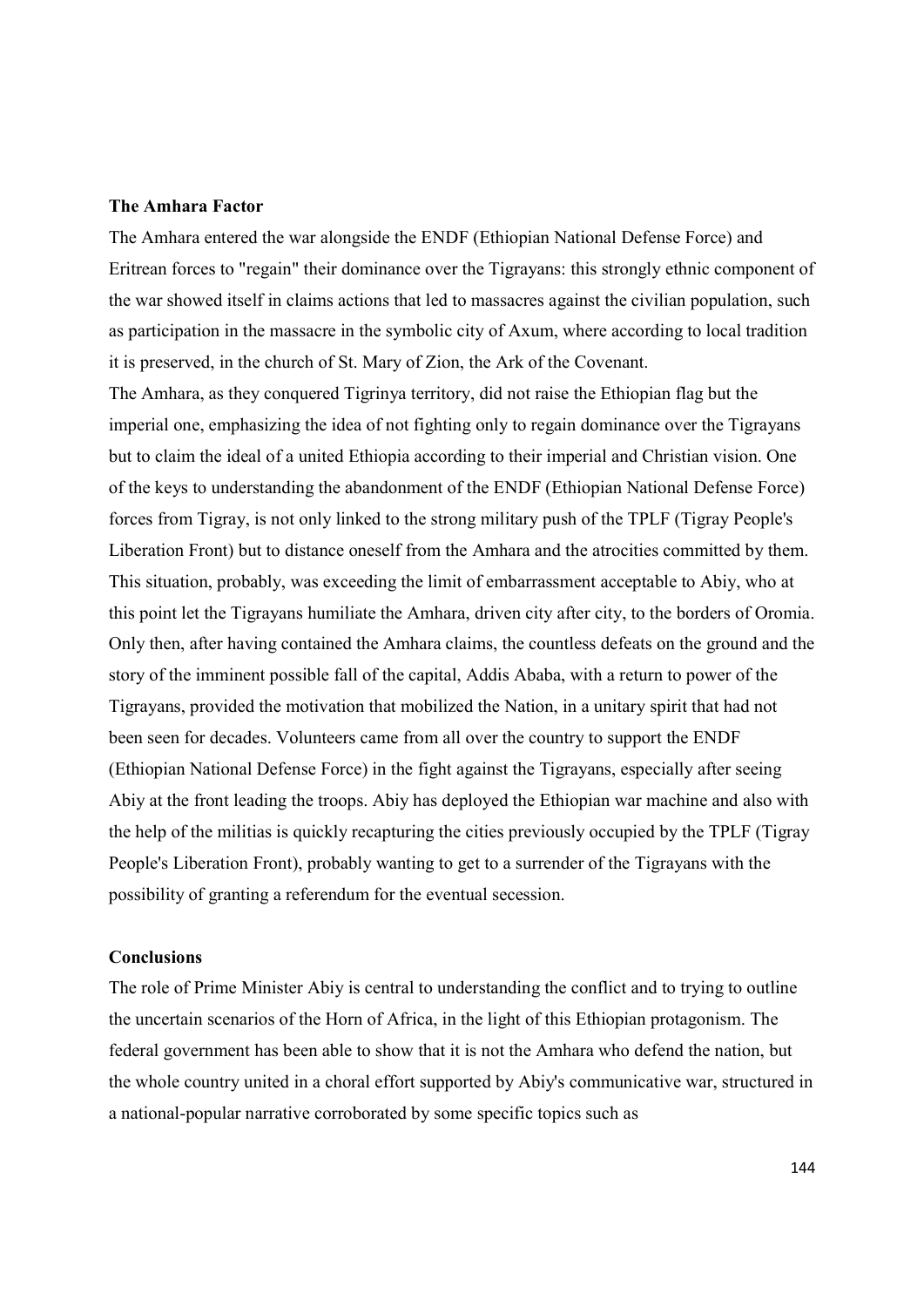## The Amhara Factor

The Amhara entered the war alongside the ENDF (Ethiopian National Defense Force) and Eritrean forces to "regain" their dominance over the Tigrayans: this strongly ethnic component of the war showed itself in claims actions that led to massacres against the civilian population, such as participation in the massacre in the symbolic city of Axum, where according to local tradition it is preserved, in the church of St. Mary of Zion, the Ark of the Covenant.

The Amhara, as they conquered Tigrinya territory, did not raise the Ethiopian flag but the imperial one, emphasizing the idea of not fighting only to regain dominance over the Tigrayans but to claim the ideal of a united Ethiopia according to their imperial and Christian vision. One of the keys to understanding the abandonment of the ENDF (Ethiopian National Defense Force) forces from Tigray, is not only linked to the strong military push of the TPLF (Tigray People's Liberation Front) but to distance oneself from the Amhara and the atrocities committed by them. This situation, probably, was exceeding the limit of embarrassment acceptable to Abiy, who at this point let the Tigrayans humiliate the Amhara, driven city after city, to the borders of Oromia. Only then, after having contained the Amhara claims, the countless defeats on the ground and the story of the imminent possible fall of the capital, Addis Ababa, with a return to power of the Tigrayans, provided the motivation that mobilized the Nation, in a unitary spirit that had not been seen for decades. Volunteers came from all over the country to support the ENDF (Ethiopian National Defense Force) in the fight against the Tigrayans, especially after seeing Abiy at the front leading the troops. Abiy has deployed the Ethiopian war machine and also with the help of the militias is quickly recapturing the cities previously occupied by the TPLF (Tigray People's Liberation Front), probably wanting to get to a surrender of the Tigrayans with the possibility of granting a referendum for the eventual secession.

## Conclusions

The role of Prime Minister Abiy is central to understanding the conflict and to trying to outline the uncertain scenarios of the Horn of Africa, in the light of this Ethiopian protagonism. The federal government has been able to show that it is not the Amhara who defend the nation, but the whole country united in a choral effort supported by Abiy's communicative war, structured in a national-popular narrative corroborated by some specific topics such as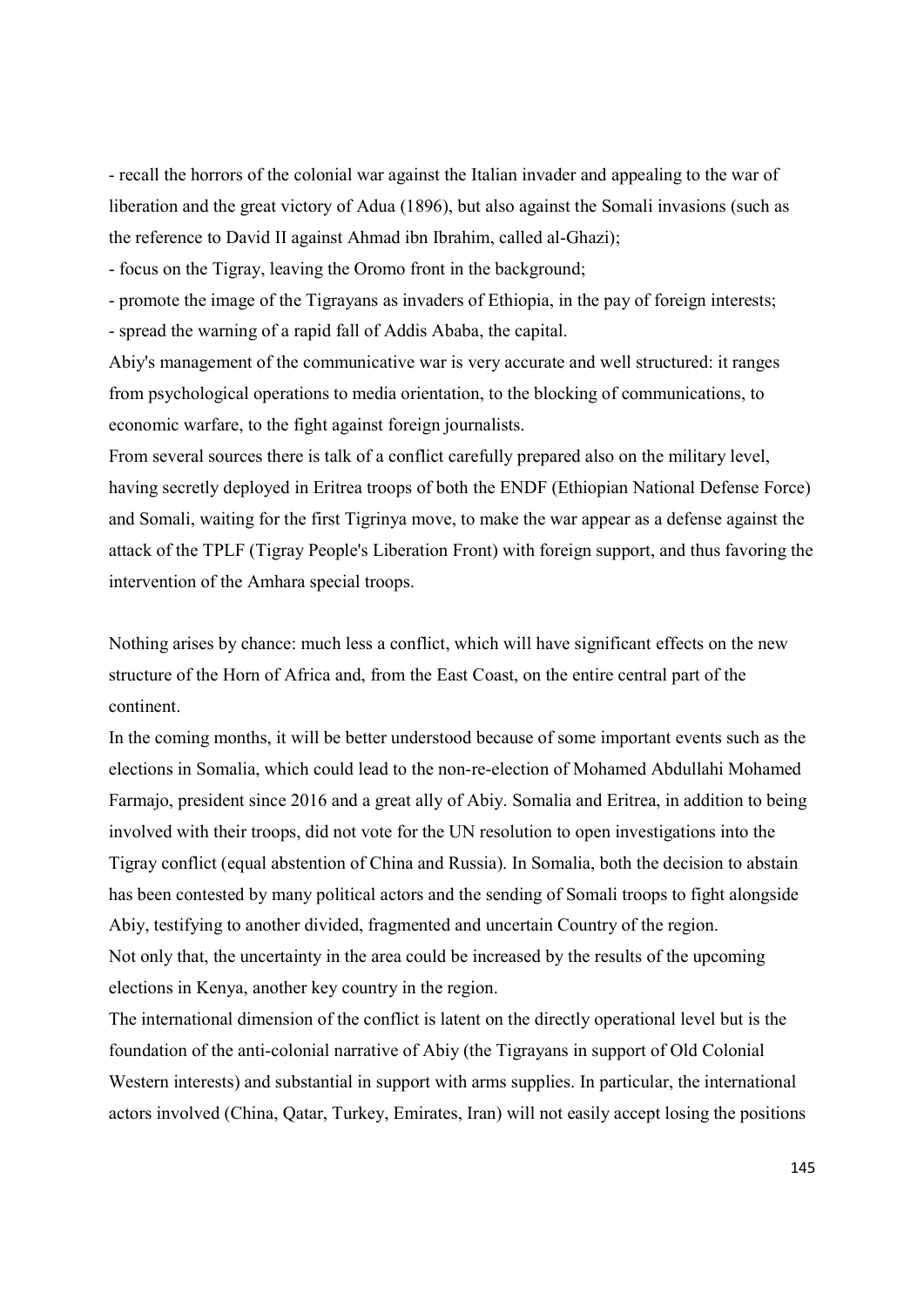- recall the horrors of the colonial war against the Italian invader and appealing to the war of liberation and the great victory of Adua (1896), but also against the Somali invasions (such as the reference to David II against Ahmad ibn Ibrahim, called al-Ghazi);

- focus on the Tigray, leaving the Oromo front in the background;

- promote the image of the Tigrayans as invaders of Ethiopia, in the pay of foreign interests; - spread the warning of a rapid fall of Addis Ababa, the capital.

Abiy's management of the communicative war is very accurate and well structured: it ranges from psychological operations to media orientation, to the blocking of communications, to economic warfare, to the fight against foreign journalists.

From several sources there is talk of a conflict carefully prepared also on the military level, having secretly deployed in Eritrea troops of both the ENDF (Ethiopian National Defense Force) and Somali, waiting for the first Tigrinya move, to make the war appear as a defense against the attack of the TPLF (Tigray People's Liberation Front) with foreign support, and thus favoring the intervention of the Amhara special troops.

Nothing arises by chance: much less a conflict, which will have significant effects on the new structure of the Horn of Africa and, from the East Coast, on the entire central part of the continent.

In the coming months, it will be better understood because of some important events such as the elections in Somalia, which could lead to the non-re-election of Mohamed Abdullahi Mohamed Farmajo, president since 2016 and a great ally of Abiy. Somalia and Eritrea, in addition to being involved with their troops, did not vote for the UN resolution to open investigations into the Tigray conflict (equal abstention of China and Russia). In Somalia, both the decision to abstain has been contested by many political actors and the sending of Somali troops to fight alongside Abiy, testifying to another divided, fragmented and uncertain Country of the region. Not only that, the uncertainty in the area could be increased by the results of the upcoming elections in Kenya, another key country in the region.

The international dimension of the conflict is latent on the directly operational level but is the foundation of the anti-colonial narrative of Abiy (the Tigrayans in support of Old Colonial Western interests) and substantial in support with arms supplies. In particular, the international actors involved (China, Qatar, Turkey, Emirates, Iran) will not easily accept losing the positions